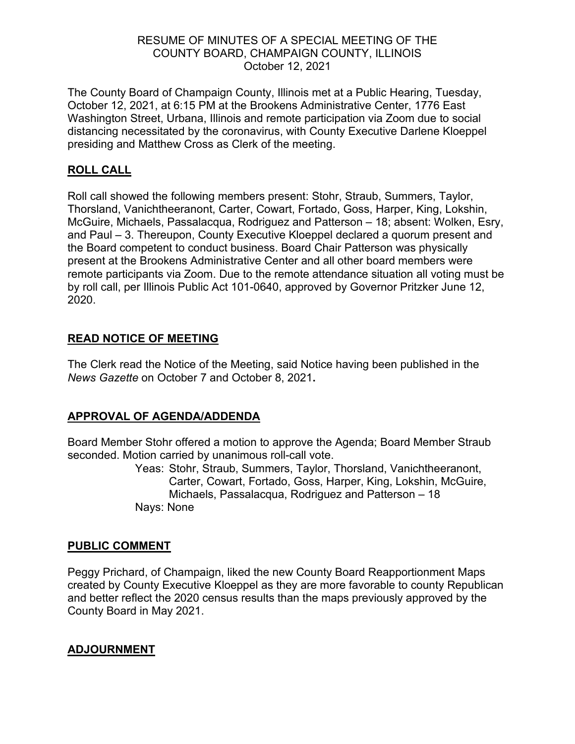#### RESUME OF MINUTES OF A SPECIAL MEETING OF THE COUNTY BOARD, CHAMPAIGN COUNTY, ILLINOIS October 12, 2021

The County Board of Champaign County, Illinois met at a Public Hearing, Tuesday, October 12, 2021, at 6:15 PM at the Brookens Administrative Center, 1776 East Washington Street, Urbana, Illinois and remote participation via Zoom due to social distancing necessitated by the coronavirus, with County Executive Darlene Kloeppel presiding and Matthew Cross as Clerk of the meeting.

### **ROLL CALL**

Roll call showed the following members present: Stohr, Straub, Summers, Taylor, Thorsland, Vanichtheeranont, Carter, Cowart, Fortado, Goss, Harper, King, Lokshin, McGuire, Michaels, Passalacqua, Rodriguez and Patterson – 18; absent: Wolken, Esry, and Paul – 3. Thereupon, County Executive Kloeppel declared a quorum present and the Board competent to conduct business. Board Chair Patterson was physically present at the Brookens Administrative Center and all other board members were remote participants via Zoom. Due to the remote attendance situation all voting must be by roll call, per Illinois Public Act 101-0640, approved by Governor Pritzker June 12, 2020.

### **READ NOTICE OF MEETING**

The Clerk read the Notice of the Meeting, said Notice having been published in the *News Gazette* on October 7 and October 8, 2021**.**

# **APPROVAL OF AGENDA/ADDENDA**

Board Member Stohr offered a motion to approve the Agenda; Board Member Straub seconded. Motion carried by unanimous roll-call vote.

Yeas: Stohr, Straub, Summers, Taylor, Thorsland, Vanichtheeranont, Carter, Cowart, Fortado, Goss, Harper, King, Lokshin, McGuire, Michaels, Passalacqua, Rodriguez and Patterson – 18 Nays: None

#### **PUBLIC COMMENT**

Peggy Prichard, of Champaign, liked the new County Board Reapportionment Maps created by County Executive Kloeppel as they are more favorable to county Republican and better reflect the 2020 census results than the maps previously approved by the County Board in May 2021.

# **ADJOURNMENT**